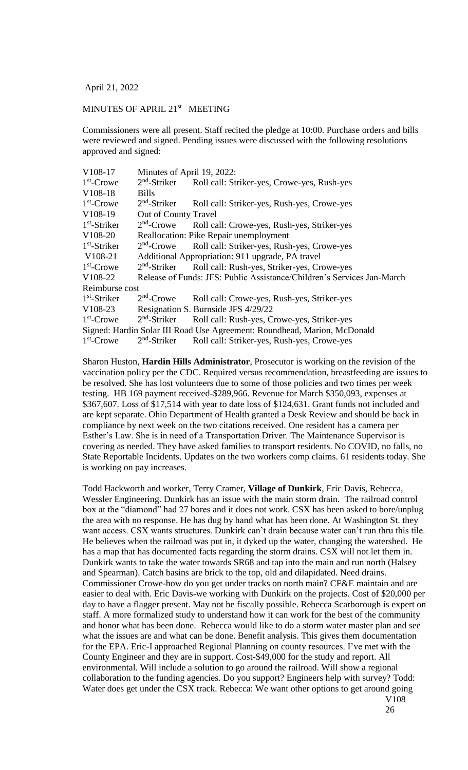April 21, 2022

## MINUTES OF APRIL 21<sup>st</sup> MEETING

Commissioners were all present. Staff recited the pledge at 10:00. Purchase orders and bills were reviewed and signed. Pending issues were discussed with the following resolutions approved and signed:

| V108-17        | Minutes of April 19, 2022:                       |                                                                          |  |
|----------------|--------------------------------------------------|--------------------------------------------------------------------------|--|
| $1st$ -Crowe   | $2nd$ -Striker                                   | Roll call: Striker-yes, Crowe-yes, Rush-yes                              |  |
| V108-18        | <b>Bills</b>                                     |                                                                          |  |
| $1st$ -Crowe   | $2nd$ -Striker                                   | Roll call: Striker-yes, Rush-yes, Crowe-yes                              |  |
| V108-19        | Out of County Travel                             |                                                                          |  |
| $1st$ -Striker | $2nd$ -Crowe                                     | Roll call: Crowe-yes, Rush-yes, Striker-yes                              |  |
| V108-20        | Reallocation: Pike Repair unemployment           |                                                                          |  |
| $1st$ -Striker | $2nd$ -Crowe                                     | Roll call: Striker-yes, Rush-yes, Crowe-yes                              |  |
| V108-21        | Additional Appropriation: 911 upgrade, PA travel |                                                                          |  |
| $1st$ -Crowe   | $2nd$ -Striker                                   | Roll call: Rush-yes, Striker-yes, Crowe-yes                              |  |
| V108-22        |                                                  | Release of Funds: JFS: Public Assistance/Children's Services Jan-March   |  |
| Reimburse cost |                                                  |                                                                          |  |
| $1st$ -Striker | $2nd$ -Crowe                                     | Roll call: Crowe-yes, Rush-yes, Striker-yes                              |  |
| V108-23        | Resignation S. Burnside JFS 4/29/22              |                                                                          |  |
| $1st$ -Crowe   | $2nd$ -Striker                                   | Roll call: Rush-yes, Crowe-yes, Striker-yes                              |  |
|                |                                                  | Signed: Hardin Solar III Road Use Agreement: Roundhead, Marion, McDonald |  |
| $1st$ -Crowe   | $2nd$ -Striker                                   | Roll call: Striker-yes, Rush-yes, Crowe-yes                              |  |

Sharon Huston, **Hardin Hills Administrator**, Prosecutor is working on the revision of the vaccination policy per the CDC. Required versus recommendation, breastfeeding are issues to be resolved. She has lost volunteers due to some of those policies and two times per week testing. HB 169 payment received-\$289,966. Revenue for March \$350,093, expenses at \$367,607. Loss of \$17,514 with year to date loss of \$124,631. Grant funds not included and are kept separate. Ohio Department of Health granted a Desk Review and should be back in compliance by next week on the two citations received. One resident has a camera per Esther's Law. She is in need of a Transportation Driver. The Maintenance Supervisor is covering as needed. They have asked families to transport residents. No COVID, no falls, no State Reportable Incidents. Updates on the two workers comp claims. 61 residents today. She is working on pay increases.

Todd Hackworth and worker, Terry Cramer, **Village of Dunkirk**, Eric Davis, Rebecca, Wessler Engineering. Dunkirk has an issue with the main storm drain. The railroad control box at the "diamond" had 27 bores and it does not work. CSX has been asked to bore/unplug the area with no response. He has dug by hand what has been done. At Washington St. they want access. CSX wants structures. Dunkirk can't drain because water can't run thru this tile. He believes when the railroad was put in, it dyked up the water, changing the watershed. He has a map that has documented facts regarding the storm drains. CSX will not let them in. Dunkirk wants to take the water towards SR68 and tap into the main and run north (Halsey and Spearman). Catch basins are brick to the top, old and dilapidated. Need drains. Commissioner Crowe-how do you get under tracks on north main? CF&E maintain and are easier to deal with. Eric Davis-we working with Dunkirk on the projects. Cost of \$20,000 per day to have a flagger present. May not be fiscally possible. Rebecca Scarborough is expert on staff. A more formalized study to understand how it can work for the best of the community and honor what has been done. Rebecca would like to do a storm water master plan and see what the issues are and what can be done. Benefit analysis. This gives them documentation for the EPA. Eric-I approached Regional Planning on county resources. I've met with the County Engineer and they are in support. Cost-\$49,000 for the study and report. All environmental. Will include a solution to go around the railroad. Will show a regional collaboration to the funding agencies. Do you support? Engineers help with survey? Todd: Water does get under the CSX track. Rebecca: We want other options to get around going V108